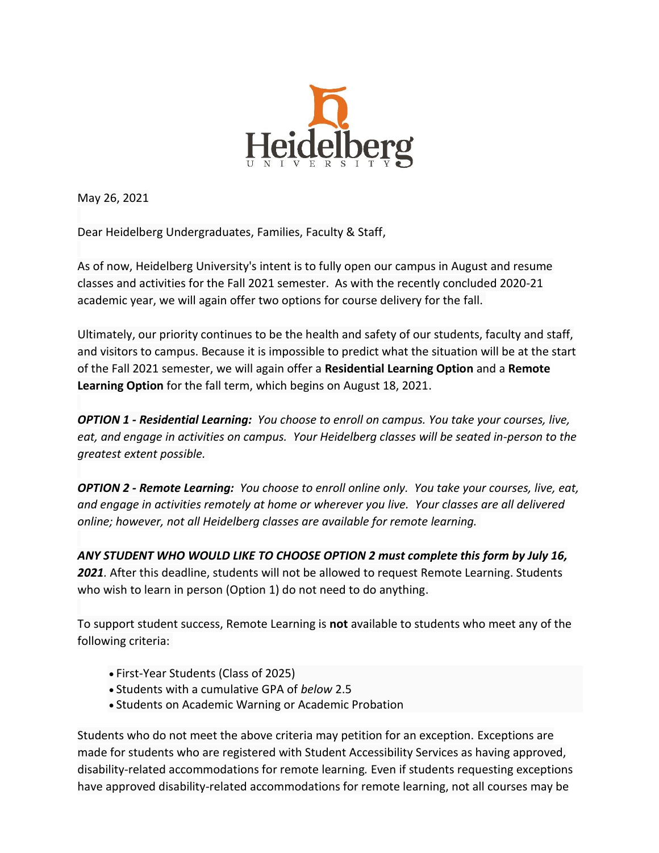

May 26, 2021

Dear Heidelberg Undergraduates, Families, Faculty & Staff,

As of now, Heidelberg University's intent is to fully open our campus in August and resume classes and activities for the Fall 2021 semester. As with the recently concluded 2020-21 academic year, we will again offer two options for course delivery for the fall.

Ultimately, our priority continues to be the health and safety of our students, faculty and staff, and visitors to campus. Because it is impossible to predict what the situation will be at the start of the Fall 2021 semester, we will again offer a **Residential Learning Option** and a **Remote Learning Option** for the fall term, which begins on August 18, 2021.

*OPTION 1 - Residential Learning: You choose to enroll on campus. You take your courses, live, eat, and engage in activities on campus. Your Heidelberg classes will be seated in-person to the greatest extent possible.*

*OPTION 2 - Remote Learning: You choose to enroll online only. You take your courses, live, eat, and engage in activities remotely at home or wherever you live. Your classes are all delivered online; however, not all Heidelberg classes are available for remote learning.*

*ANY STUDENT WHO WOULD LIKE TO CHOOSE OPTION 2 must complete this [form](https://heidelberg.us1.list-manage.com/track/click?u=aedcf85e9275dba4a51d423f2&id=1bfa9cb050&e=5208781db9) by July 16, 2021.* After this deadline, students will not be allowed to request Remote Learning. Students who wish to learn in person (Option 1) do not need to do anything.

To support student success, Remote Learning is **not** available to students who meet any of the following criteria:

- First-Year Students (Class of 2025)
- Students with a cumulative GPA of *below* 2.5
- Students on Academic Warning or Academic Probation

Students who do not meet the above criteria may petition for an exception. Exceptions are made for students who are registered with Student Accessibility Services as having approved, disability-related accommodations for remote learning*.* Even if students requesting exceptions have approved disability-related accommodations for remote learning, not all courses may be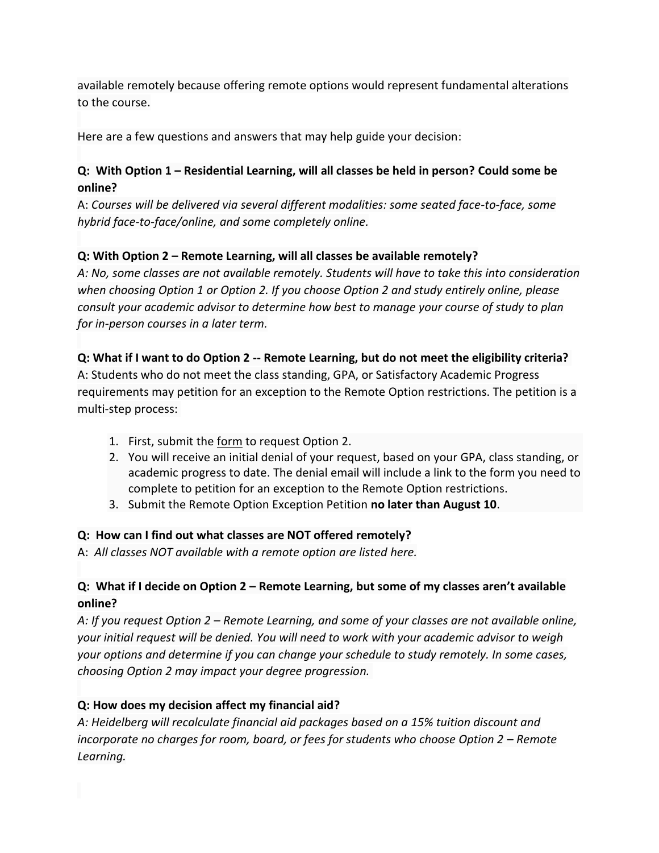available remotely because offering remote options would represent fundamental alterations to the course.

Here are a few questions and answers that may help guide your decision:

## **Q: With Option 1 – Residential Learning, will all classes be held in person? Could some be online?**

A: *Courses will be delivered via several different modalities: some seated face-to-face, some hybrid face-to-face/online, and some completely online.*

# **Q: With Option 2 – Remote Learning, will all classes be available remotely?**

*A: No, some classes are not available remotely. Students will have to take this into consideration when choosing Option 1 or Option 2. If you choose Option 2 and study entirely online, please consult your academic advisor to determine how best to manage your course of study to plan for in-person courses in a later term.*

## **Q: What if I want to do Option 2 -- Remote Learning, but do not meet the eligibility criteria?**

A: Students who do not meet the class standing, GPA, or Satisfactory Academic Progress requirements may petition for an exception to the Remote Option restrictions. The petition is a multi-step process:

- 1. First, submit the [form](https://heidelberg.us1.list-manage.com/track/click?u=aedcf85e9275dba4a51d423f2&id=340a608e99&e=5208781db9) to request Option 2.
- 2. You will receive an initial denial of your request, based on your GPA, class standing, or academic progress to date. The denial email will include a link to the form you need to complete to petition for an exception to the Remote Option restrictions.
- 3. Submit the Remote Option Exception Petition **no later than August 10**.

## **Q: How can I find out what classes are NOT offered remotely?**

A: *All classes NOT available with a remote option are listed [here.](https://heidelberg.us1.list-manage.com/track/click?u=aedcf85e9275dba4a51d423f2&id=2b78168f84&e=5208781db9)*

# **Q: What if I decide on Option 2 – Remote Learning, but some of my classes aren't available online?**

*A: If you request Option 2 – Remote Learning, and some of your classes are not available online, your initial request will be denied. You will need to work with your academic advisor to weigh your options and determine if you can change your schedule to study remotely. In some cases, choosing Option 2 may impact your degree progression.*

# **Q: How does my decision affect my financial aid?**

*A: Heidelberg will recalculate financial aid packages based on a 15% tuition discount and incorporate no charges for room, board, or fees for students who choose Option 2 – Remote Learning.*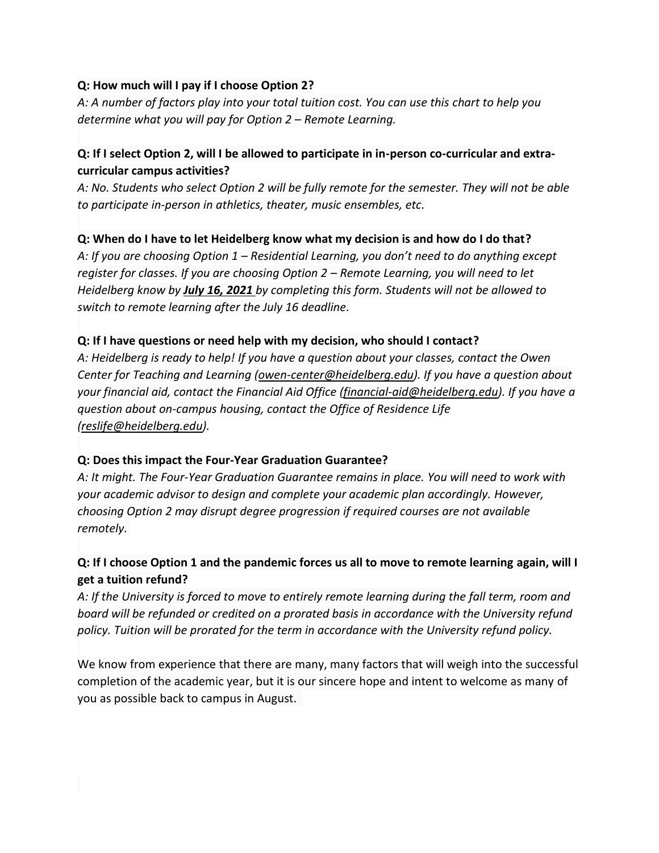#### **Q: How much will I pay if I choose Option 2?**

*A: A number of factors play into your total tuition cost. You can use this [chart](https://heidelberg.us1.list-manage.com/track/click?u=aedcf85e9275dba4a51d423f2&id=be758d8789&e=5208781db9) to help you determine what you will pay for Option 2 – Remote Learning.*

## **Q: If I select Option 2, will I be allowed to participate in in-person co-curricular and extracurricular campus activities?**

*A: No. Students who select Option 2 will be fully remote for the semester. They will not be able to participate in-person in athletics, theater, music ensembles, etc.*

## **Q: When do I have to let Heidelberg know what my decision is and how do I do that?**

*A: If you are choosing Option 1 – Residential Learning, you don't need to do anything except register for classes. If you are choosing Option 2 – Remote Learning, you will need to let Heidelberg know by July 16, 2021 by completing this [form.](https://heidelberg.us1.list-manage.com/track/click?u=aedcf85e9275dba4a51d423f2&id=ce8f71ea0e&e=5208781db9) Students will not be allowed to switch to remote learning after the July 16 deadline.*

## **Q: If I have questions or need help with my decision, who should I contact?**

*A: Heidelberg is ready to help! If you have a question about your classes, contact the Owen Center for Teaching and Learning [\(owen-center@heidelberg.edu\)](mailto:owen-center@heidelberg.edu). If you have a question about your financial aid, contact the Financial Aid Office [\(financial-aid@heidelberg.edu\)](mailto:financial-aid@heidelberg.edu). If you have a question about on-campus housing, contact the Office of Residence Life [\(reslife@heidelberg.edu\)](mailto:reslife@heidelberg.edu).*

## **Q: Does this impact the Four-Year Graduation Guarantee?**

*A: It might. The Four-Year Graduation Guarantee remains in place. You will need to work with your academic advisor to design and complete your academic plan accordingly. However, choosing Option 2 may disrupt degree progression if required courses are not available remotely.*

# **Q: If I choose Option 1 and the pandemic forces us all to move to remote learning again, will I get a tuition refund?**

*A: If the University is forced to move to entirely remote learning during the fall term, room and board will be refunded or credited on a prorated basis in accordance with the University refund policy. Tuition will be prorated for the term in accordance with the University refund policy.*

We know from experience that there are many, many factors that will weigh into the successful completion of the academic year, but it is our sincere hope and intent to welcome as many of you as possible back to campus in August.